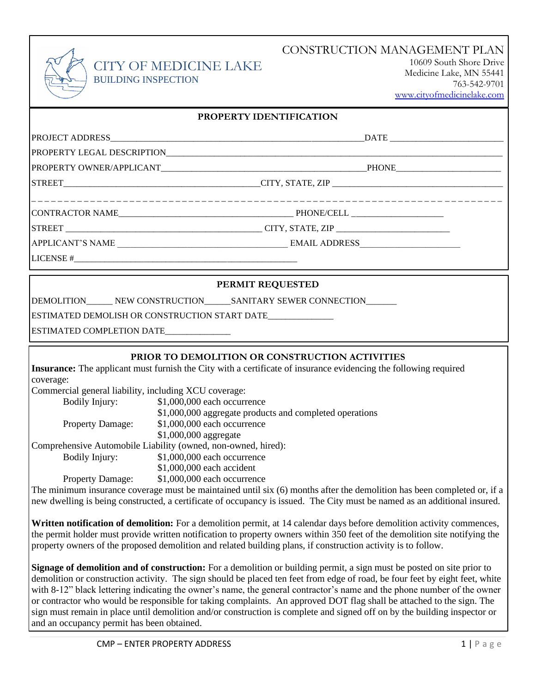

and an occupancy permit has been obtained.

|                                                                                                        | <b>CITY OF MEDICINE LAKE</b>                                                                                                                                                                                                                           |  | 10609 South Shore Drive<br>Medicine Lake, MN 55441 |  |
|--------------------------------------------------------------------------------------------------------|--------------------------------------------------------------------------------------------------------------------------------------------------------------------------------------------------------------------------------------------------------|--|----------------------------------------------------|--|
|                                                                                                        | <b>BUILDING INSPECTION</b>                                                                                                                                                                                                                             |  | 763-542-9701                                       |  |
|                                                                                                        |                                                                                                                                                                                                                                                        |  | www.cityofmedicinelake.com                         |  |
|                                                                                                        | PROPERTY IDENTIFICATION                                                                                                                                                                                                                                |  |                                                    |  |
|                                                                                                        |                                                                                                                                                                                                                                                        |  |                                                    |  |
|                                                                                                        |                                                                                                                                                                                                                                                        |  |                                                    |  |
| PROPERTY OWNER/APPLICANT PHONE PHONE                                                                   |                                                                                                                                                                                                                                                        |  |                                                    |  |
|                                                                                                        |                                                                                                                                                                                                                                                        |  |                                                    |  |
|                                                                                                        |                                                                                                                                                                                                                                                        |  |                                                    |  |
|                                                                                                        |                                                                                                                                                                                                                                                        |  |                                                    |  |
|                                                                                                        |                                                                                                                                                                                                                                                        |  |                                                    |  |
|                                                                                                        |                                                                                                                                                                                                                                                        |  |                                                    |  |
|                                                                                                        | PERMIT REQUESTED                                                                                                                                                                                                                                       |  |                                                    |  |
|                                                                                                        | DEMOLITION_______ NEW CONSTRUCTION________SANITARY SEWER CONNECTION________                                                                                                                                                                            |  |                                                    |  |
|                                                                                                        | ESTIMATED DEMOLISH OR CONSTRUCTION START DATE                                                                                                                                                                                                          |  |                                                    |  |
| ESTIMATED COMPLETION DATE                                                                              |                                                                                                                                                                                                                                                        |  |                                                    |  |
|                                                                                                        | PRIOR TO DEMOLITION OR CONSTRUCTION ACTIVITIES                                                                                                                                                                                                         |  |                                                    |  |
|                                                                                                        | Insurance: The applicant must furnish the City with a certificate of insurance evidencing the following required                                                                                                                                       |  |                                                    |  |
| coverage:                                                                                              |                                                                                                                                                                                                                                                        |  |                                                    |  |
| Commercial general liability, including XCU coverage:<br>Bodily Injury:<br>\$1,000,000 each occurrence |                                                                                                                                                                                                                                                        |  |                                                    |  |
|                                                                                                        | \$1,000,000 aggregate products and completed operations                                                                                                                                                                                                |  |                                                    |  |
| <b>Property Damage:</b>                                                                                | \$1,000,000 each occurrence                                                                                                                                                                                                                            |  |                                                    |  |
|                                                                                                        | \$1,000,000 aggregate<br>Comprehensive Automobile Liability (owned, non-owned, hired):                                                                                                                                                                 |  |                                                    |  |
| Bodily Injury:                                                                                         | \$1,000,000 each occurrence                                                                                                                                                                                                                            |  |                                                    |  |
|                                                                                                        | \$1,000,000 each accident                                                                                                                                                                                                                              |  |                                                    |  |
| <b>Property Damage:</b>                                                                                | \$1,000,000 each occurrence                                                                                                                                                                                                                            |  |                                                    |  |
|                                                                                                        | The minimum insurance coverage must be maintained until six (6) months after the demolition has been completed or, if a<br>new dwelling is being constructed, a certificate of occupancy is issued. The City must be named as an additional insured.   |  |                                                    |  |
|                                                                                                        | Written notification of demolition: For a demolition permit, at 14 calendar days before demolition activity commences,                                                                                                                                 |  |                                                    |  |
|                                                                                                        | the permit holder must provide written notification to property owners within 350 feet of the demolition site notifying the<br>property owners of the proposed demolition and related building plans, if construction activity is to follow.           |  |                                                    |  |
|                                                                                                        | Signage of demolition and of construction: For a demolition or building permit, a sign must be posted on site prior to<br>demolition or construction activity. The sign should be placed ten feet from edge of road, be four feet by eight feet, white |  |                                                    |  |

with 8-12" black lettering indicating the owner's name, the general contractor's name and the phone number of the owner or contractor who would be responsible for taking complaints. An approved DOT flag shall be attached to the sign. The sign must remain in place until demolition and/or construction is complete and signed off on by the building inspector or



# CITY C

CONSTRUCTION MANAGEMENT PLAN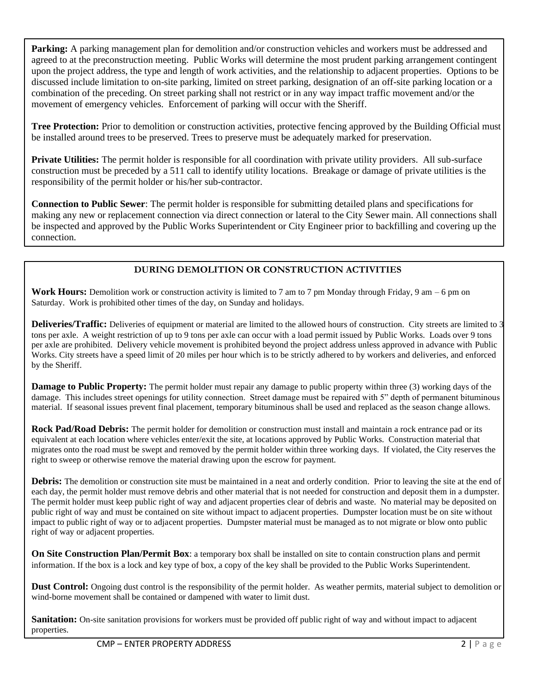**Parking:** A parking management plan for demolition and/or construction vehicles and workers must be addressed and agreed to at the preconstruction meeting. Public Works will determine the most prudent parking arrangement contingent upon the project address, the type and length of work activities, and the relationship to adjacent properties. Options to be discussed include limitation to on-site parking, limited on street parking, designation of an off-site parking location or a combination of the preceding. On street parking shall not restrict or in any way impact traffic movement and/or the movement of emergency vehicles. Enforcement of parking will occur with the Sheriff.

**Tree Protection:** Prior to demolition or construction activities, protective fencing approved by the Building Official must be installed around trees to be preserved. Trees to preserve must be adequately marked for preservation.

**Private Utilities:** The permit holder is responsible for all coordination with private utility providers. All sub-surface construction must be preceded by a 511 call to identify utility locations. Breakage or damage of private utilities is the responsibility of the permit holder or his/her sub-contractor.

**Connection to Public Sewer**: The permit holder is responsible for submitting detailed plans and specifications for making any new or replacement connection via direct connection or lateral to the City Sewer main. All connections shall be inspected and approved by the Public Works Superintendent or City Engineer prior to backfilling and covering up the connection.

### **DURING DEMOLITION OR CONSTRUCTION ACTIVITIES**

**Work Hours:** Demolition work or construction activity is limited to 7 am to 7 pm Monday through Friday, 9 am – 6 pm on Saturday. Work is prohibited other times of the day, on Sunday and holidays.

**Deliveries/Traffic:** Deliveries of equipment or material are limited to the allowed hours of construction. City streets are limited to 3 tons per axle. A weight restriction of up to 9 tons per axle can occur with a load permit issued by Public Works. Loads over 9 tons per axle are prohibited. Delivery vehicle movement is prohibited beyond the project address unless approved in advance with Public Works. City streets have a speed limit of 20 miles per hour which is to be strictly adhered to by workers and deliveries, and enforced by the Sheriff.

**Damage to Public Property:** The permit holder must repair any damage to public property within three (3) working days of the damage. This includes street openings for utility connection. Street damage must be repaired with 5" depth of permanent bituminous material. If seasonal issues prevent final placement, temporary bituminous shall be used and replaced as the season change allows.

**Rock Pad/Road Debris:** The permit holder for demolition or construction must install and maintain a rock entrance pad or its equivalent at each location where vehicles enter/exit the site, at locations approved by Public Works. Construction material that migrates onto the road must be swept and removed by the permit holder within three working days. If violated, the City reserves the right to sweep or otherwise remove the material drawing upon the escrow for payment.

**Debris:** The demolition or construction site must be maintained in a neat and orderly condition. Prior to leaving the site at the end of each day, the permit holder must remove debris and other material that is not needed for construction and deposit them in a dumpster. The permit holder must keep public right of way and adjacent properties clear of debris and waste. No material may be deposited on public right of way and must be contained on site without impact to adjacent properties. Dumpster location must be on site without impact to public right of way or to adjacent properties. Dumpster material must be managed as to not migrate or blow onto public right of way or adjacent properties.

**On Site Construction Plan/Permit Box**: a temporary box shall be installed on site to contain construction plans and permit information. If the box is a lock and key type of box, a copy of the key shall be provided to the Public Works Superintendent.

**Dust Control:** Ongoing dust control is the responsibility of the permit holder. As weather permits, material subject to demolition or wind-borne movement shall be contained or dampened with water to limit dust.

**Sanitation:** On-site sanitation provisions for workers must be provided off public right of way and without impact to adjacent properties.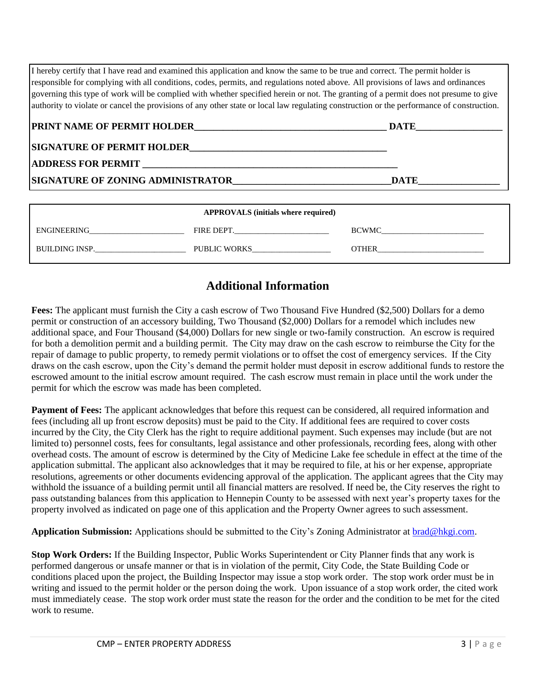I hereby certify that I have read and examined this application and know the same to be true and correct. The permit holder is responsible for complying with all conditions, codes, permits, and regulations noted above. All provisions of laws and ordinances governing this type of work will be complied with whether specified herein or not. The granting of a permit does not presume to give authority to violate or cancel the provisions of any other state or local law regulating construction or the performance of construction.

| <b>PRINT NAME OF PERMIT HOLDER</b> | DATE |
|------------------------------------|------|
| <b>SIGNATURE OF PERMIT HOLDER</b>  |      |
| <b>ADDRESS FOR PERMIT_</b>         |      |
| SIGNATURE OF ZONING ADMINISTRATOR  | DATE |

| <b>APPROVALS</b> (initials where required) |                     |              |  |  |
|--------------------------------------------|---------------------|--------------|--|--|
| ENGINEERING                                | FIRE DEPT.          | <b>BCWMC</b> |  |  |
| <b>BUILDING INSP.</b>                      | <b>PUBLIC WORKS</b> | OTHER        |  |  |

### **Additional Information**

**Fees:** The applicant must furnish the City a cash escrow of Two Thousand Five Hundred (\$2,500) Dollars for a demo permit or construction of an accessory building, Two Thousand (\$2,000) Dollars for a remodel which includes new additional space, and Four Thousand (\$4,000) Dollars for new single or two-family construction. An escrow is required for both a demolition permit and a building permit. The City may draw on the cash escrow to reimburse the City for the repair of damage to public property, to remedy permit violations or to offset the cost of emergency services. If the City draws on the cash escrow, upon the City's demand the permit holder must deposit in escrow additional funds to restore the escrowed amount to the initial escrow amount required. The cash escrow must remain in place until the work under the permit for which the escrow was made has been completed.

**Payment of Fees:** The applicant acknowledges that before this request can be considered, all required information and fees (including all up front escrow deposits) must be paid to the City. If additional fees are required to cover costs incurred by the City, the City Clerk has the right to require additional payment. Such expenses may include (but are not limited to) personnel costs, fees for consultants, legal assistance and other professionals, recording fees, along with other overhead costs. The amount of escrow is determined by the City of Medicine Lake fee schedule in effect at the time of the application submittal. The applicant also acknowledges that it may be required to file, at his or her expense, appropriate resolutions, agreements or other documents evidencing approval of the application. The applicant agrees that the City may withhold the issuance of a building permit until all financial matters are resolved. If need be, the City reserves the right to pass outstanding balances from this application to Hennepin County to be assessed with next year's property taxes for the property involved as indicated on page one of this application and the Property Owner agrees to such assessment.

**Application Submission:** Applications should be submitted to the City's Zoning Administrator at [brad@hkgi.com.](mailto:brad@hkgi.com)

**Stop Work Orders:** If the Building Inspector, Public Works Superintendent or City Planner finds that any work is performed dangerous or unsafe manner or that is in violation of the permit, City Code, the State Building Code or conditions placed upon the project, the Building Inspector may issue a stop work order. The stop work order must be in writing and issued to the permit holder or the person doing the work. Upon issuance of a stop work order, the cited work must immediately cease. The stop work order must state the reason for the order and the condition to be met for the cited work to resume.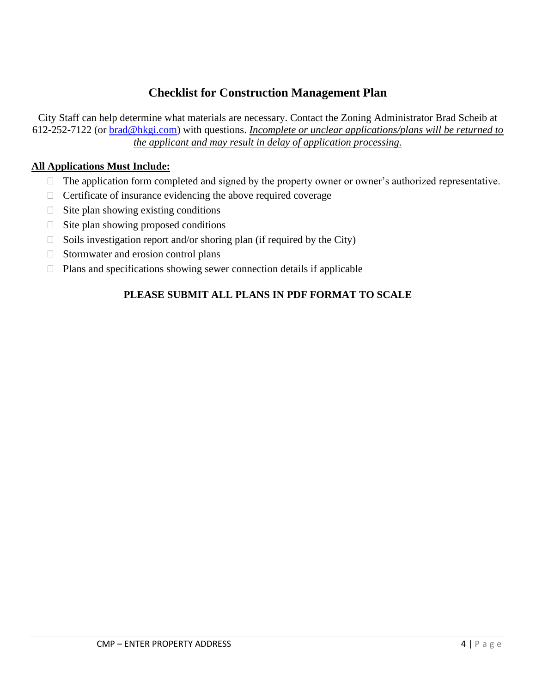## **Checklist for Construction Management Plan**

City Staff can help determine what materials are necessary. Contact the Zoning Administrator Brad Scheib at 612-252-7122 (or [brad@hkgi.com\)](mailto:brad@hkgi.com) with questions. *Incomplete or unclear applications/plans will be returned to the applicant and may result in delay of application processing.*

### **All Applications Must Include:**

- $\Box$  The application form completed and signed by the property owner or owner's authorized representative.
- $\Box$  Certificate of insurance evidencing the above required coverage
- $\Box$  Site plan showing existing conditions
- $\Box$  Site plan showing proposed conditions
- $\Box$  Soils investigation report and/or shoring plan (if required by the City)
- $\Box$  Stormwater and erosion control plans
- $\Box$  Plans and specifications showing sewer connection details if applicable

### **PLEASE SUBMIT ALL PLANS IN PDF FORMAT TO SCALE**